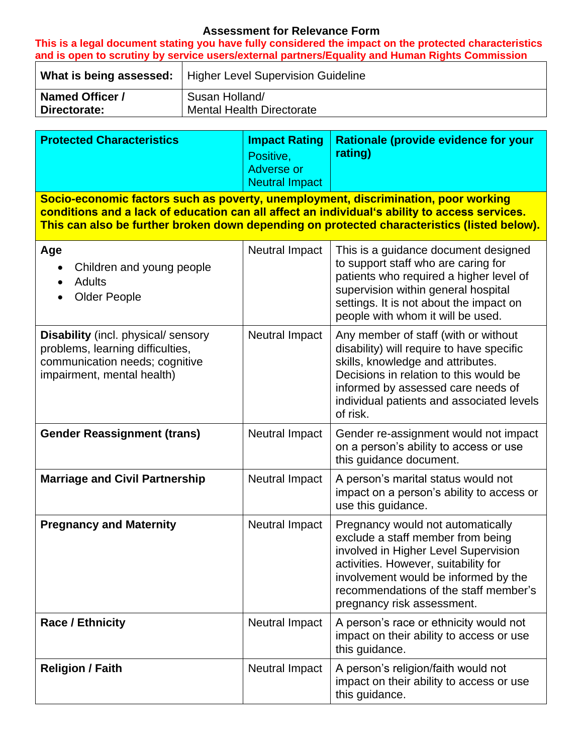## **Assessment for Relevance Form**

**This is a legal document stating you have fully considered the impact on the protected characteristics and is open to scrutiny by service users/external partners/Equality and Human Rights Commission**   $\overline{\phantom{a}}$ 

|                        | What is being assessed:   Higher Level Supervision Guideline |
|------------------------|--------------------------------------------------------------|
| <b>Named Officer /</b> | Susan Holland/                                               |
| Directorate:           | <b>Mental Health Directorate</b>                             |

| <b>Protected Characteristics</b>                                                                                                                                                                                                                                                   | <b>Impact Rating</b><br>Positive,<br><b>Adverse or</b><br><b>Neutral Impact</b> | <b>Rationale (provide evidence for your</b><br>rating)                                                                                                                                                                                                                |  |  |  |
|------------------------------------------------------------------------------------------------------------------------------------------------------------------------------------------------------------------------------------------------------------------------------------|---------------------------------------------------------------------------------|-----------------------------------------------------------------------------------------------------------------------------------------------------------------------------------------------------------------------------------------------------------------------|--|--|--|
| Socio-economic factors such as poverty, unemployment, discrimination, poor working<br>conditions and a lack of education can all affect an individual's ability to access services.<br>This can also be further broken down depending on protected characteristics (listed below). |                                                                                 |                                                                                                                                                                                                                                                                       |  |  |  |
| Age<br>Children and young people<br>$\bullet$<br><b>Adults</b><br>$\bullet$<br><b>Older People</b>                                                                                                                                                                                 | Neutral Impact                                                                  | This is a guidance document designed<br>to support staff who are caring for<br>patients who required a higher level of<br>supervision within general hospital<br>settings. It is not about the impact on<br>people with whom it will be used.                         |  |  |  |
| <b>Disability</b> (incl. physical/ sensory<br>problems, learning difficulties,<br>communication needs; cognitive<br>impairment, mental health)                                                                                                                                     | Neutral Impact                                                                  | Any member of staff (with or without<br>disability) will require to have specific<br>skills, knowledge and attributes.<br>Decisions in relation to this would be<br>informed by assessed care needs of<br>individual patients and associated levels<br>of risk.       |  |  |  |
| <b>Gender Reassignment (trans)</b>                                                                                                                                                                                                                                                 | Neutral Impact                                                                  | Gender re-assignment would not impact<br>on a person's ability to access or use<br>this guidance document.                                                                                                                                                            |  |  |  |
| <b>Marriage and Civil Partnership</b>                                                                                                                                                                                                                                              | Neutral Impact                                                                  | A person's marital status would not<br>impact on a person's ability to access or<br>use this guidance.                                                                                                                                                                |  |  |  |
| <b>Pregnancy and Maternity</b>                                                                                                                                                                                                                                                     | Neutral Impact                                                                  | Pregnancy would not automatically<br>exclude a staff member from being<br>involved in Higher Level Supervision<br>activities. However, suitability for<br>involvement would be informed by the<br>recommendations of the staff member's<br>pregnancy risk assessment. |  |  |  |
| <b>Race / Ethnicity</b>                                                                                                                                                                                                                                                            | Neutral Impact                                                                  | A person's race or ethnicity would not<br>impact on their ability to access or use<br>this guidance.                                                                                                                                                                  |  |  |  |
| <b>Religion / Faith</b>                                                                                                                                                                                                                                                            | <b>Neutral Impact</b>                                                           | A person's religion/faith would not<br>impact on their ability to access or use<br>this guidance.                                                                                                                                                                     |  |  |  |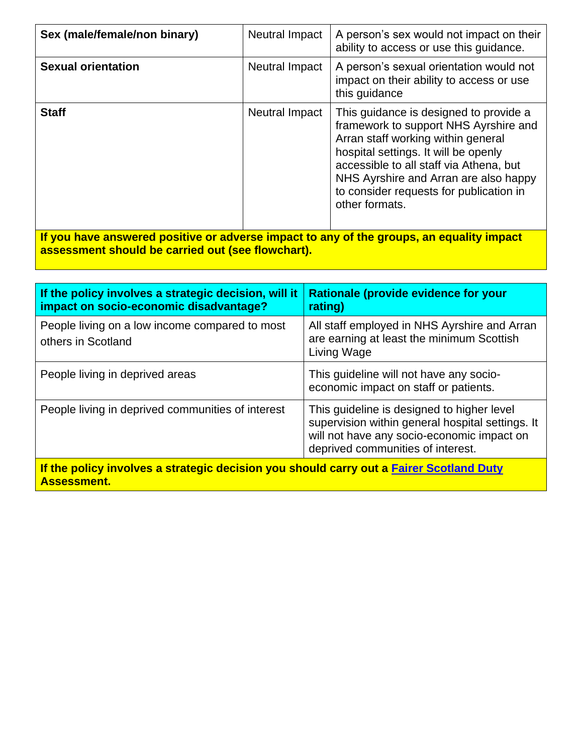| Sex (male/female/non binary)                                                             | <b>Neutral Impact</b> | A person's sex would not impact on their<br>ability to access or use this guidance.                                                                                                                                                                                                                            |  |  |
|------------------------------------------------------------------------------------------|-----------------------|----------------------------------------------------------------------------------------------------------------------------------------------------------------------------------------------------------------------------------------------------------------------------------------------------------------|--|--|
| <b>Sexual orientation</b>                                                                | Neutral Impact        | A person's sexual orientation would not<br>impact on their ability to access or use<br>this guidance                                                                                                                                                                                                           |  |  |
| <b>Staff</b>                                                                             | Neutral Impact        | This guidance is designed to provide a<br>framework to support NHS Ayrshire and<br>Arran staff working within general<br>hospital settings. It will be openly<br>accessible to all staff via Athena, but<br>NHS Ayrshire and Arran are also happy<br>to consider requests for publication in<br>other formats. |  |  |
| If you have answered positive or adverse impact to any of the groups, an equality impact |                       |                                                                                                                                                                                                                                                                                                                |  |  |

**assessment should be carried out (see flowchart).**

| If the policy involves a strategic decision, will it<br>impact on socio-economic disadvantage?                | Rationale (provide evidence for your<br>rating)                                                                                                                                   |  |  |
|---------------------------------------------------------------------------------------------------------------|-----------------------------------------------------------------------------------------------------------------------------------------------------------------------------------|--|--|
| People living on a low income compared to most<br>others in Scotland                                          | All staff employed in NHS Ayrshire and Arran<br>are earning at least the minimum Scottish<br>Living Wage                                                                          |  |  |
| People living in deprived areas                                                                               | This quideline will not have any socio-<br>economic impact on staff or patients.                                                                                                  |  |  |
| People living in deprived communities of interest                                                             | This guideline is designed to higher level<br>supervision within general hospital settings. It<br>will not have any socio-economic impact on<br>deprived communities of interest. |  |  |
| If the policy involves a strategic decision you should carry out a Fairer Scotland Duty<br><b>Assessment.</b> |                                                                                                                                                                                   |  |  |